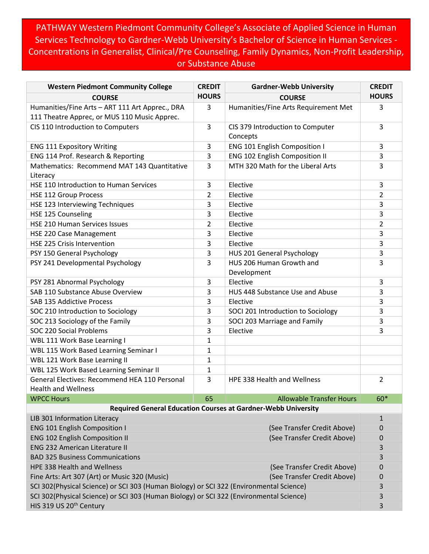PATHWAY Western Piedmont Community College's Associate of Applied Science in Human Services Technology to Gardner-Webb University's Bachelor of Science in Human Services - Concentrations in Generalist, Clinical/Pre Counseling, Family Dynamics, Non-Profit Leadership, or Substance Abuse

| <b>Western Piedmont Community College</b>                                                       | <b>CREDIT</b>  | <b>Gardner-Webb University</b>                                       | <b>CREDIT</b>    |
|-------------------------------------------------------------------------------------------------|----------------|----------------------------------------------------------------------|------------------|
| <b>COURSE</b>                                                                                   | <b>HOURS</b>   | <b>COURSE</b>                                                        | <b>HOURS</b>     |
| Humanities/Fine Arts - ART 111 Art Apprec., DRA<br>111 Theatre Apprec, or MUS 110 Music Apprec. | 3              | Humanities/Fine Arts Requirement Met                                 | 3                |
| CIS 110 Introduction to Computers                                                               | 3              | CIS 379 Introduction to Computer<br>Concepts                         | 3                |
| <b>ENG 111 Expository Writing</b>                                                               | 3              | ENG 101 English Composition I                                        | 3                |
| ENG 114 Prof. Research & Reporting                                                              | 3              | ENG 102 English Composition II                                       | 3                |
| Mathematics: Recommend MAT 143 Quantitative<br>Literacy                                         | 3              | MTH 320 Math for the Liberal Arts                                    | 3                |
| HSE 110 Introduction to Human Services                                                          | 3              | Elective                                                             | 3                |
| <b>HSE 112 Group Process</b>                                                                    | $\overline{2}$ | Elective                                                             | $\overline{2}$   |
| HSE 123 Interviewing Techniques                                                                 | 3              | Elective                                                             | 3                |
| HSE 125 Counseling                                                                              | 3              | Elective                                                             | 3                |
| HSE 210 Human Services Issues                                                                   | $\overline{2}$ | Elective                                                             | $\overline{2}$   |
| HSE 220 Case Management                                                                         | 3              | Elective                                                             | 3                |
| <b>HSE 225 Crisis Intervention</b>                                                              | 3              | Elective                                                             | 3                |
| PSY 150 General Psychology                                                                      | 3              | HUS 201 General Psychology                                           | 3                |
| PSY 241 Developmental Psychology                                                                | 3              | HUS 206 Human Growth and<br>Development                              | 3                |
| PSY 281 Abnormal Psychology                                                                     | 3              | Elective                                                             | 3                |
| SAB 110 Substance Abuse Overview                                                                | 3              | HUS 448 Substance Use and Abuse                                      | 3                |
| SAB 135 Addictive Process                                                                       | 3              | Elective                                                             | 3                |
| SOC 210 Introduction to Sociology                                                               | 3              | SOCI 201 Introduction to Sociology                                   | 3                |
| SOC 213 Sociology of the Family                                                                 | 3              | SOCI 203 Marriage and Family                                         | 3                |
| SOC 220 Social Problems                                                                         | 3              | Elective                                                             | 3                |
| WBL 111 Work Base Learning I                                                                    | $\mathbf{1}$   |                                                                      |                  |
| WBL 115 Work Based Learning Seminar I                                                           | $\mathbf{1}$   |                                                                      |                  |
| WBL 121 Work Base Learning II                                                                   | $\mathbf{1}$   |                                                                      |                  |
| WBL 125 Work Based Learning Seminar II                                                          | 1              |                                                                      |                  |
| General Electives: Recommend HEA 110 Personal<br><b>Health and Wellness</b>                     | 3              | HPE 338 Health and Wellness                                          | 2                |
| <b>WPCC Hours</b>                                                                               | 65             | <b>Allowable Transfer Hours</b>                                      | $60*$            |
|                                                                                                 |                | <b>Required General Education Courses at Gardner-Webb University</b> |                  |
| LIB 301 Information Literacy                                                                    |                |                                                                      | $\mathbf{1}$     |
| <b>ENG 101 English Composition I</b><br>(See Transfer Credit Above)                             |                |                                                                      | 0                |
| <b>ENG 102 English Composition II</b><br>(See Transfer Credit Above)                            |                |                                                                      | $\boldsymbol{0}$ |
| <b>ENG 232 American Literature II</b>                                                           |                |                                                                      | 3                |
| <b>BAD 325 Business Communications</b>                                                          |                |                                                                      | 3                |
| <b>HPE 338 Health and Wellness</b><br>(See Transfer Credit Above)                               |                |                                                                      | $\mathbf 0$      |
| Fine Arts: Art 307 (Art) or Music 320 (Music)<br>(See Transfer Credit Above)                    |                |                                                                      | 0                |
| SCI 302(Physical Science) or SCI 303 (Human Biology) or SCI 322 (Environmental Science)         |                |                                                                      |                  |
| SCI 302(Physical Science) or SCI 303 (Human Biology) or SCI 322 (Environmental Science)         |                |                                                                      | 3                |
| HIS 319 US 20 <sup>th</sup> Century                                                             |                |                                                                      |                  |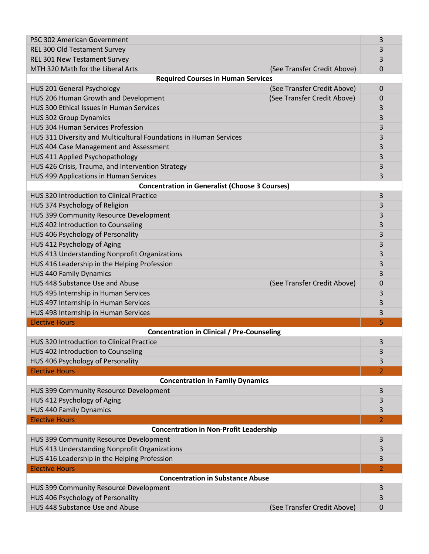| PSC 302 American Government                                       | 3                                          |  |  |  |
|-------------------------------------------------------------------|--------------------------------------------|--|--|--|
| REL 300 Old Testament Survey                                      | 3                                          |  |  |  |
| REL 301 New Testament Survey                                      | 3                                          |  |  |  |
| MTH 320 Math for the Liberal Arts                                 | (See Transfer Credit Above)<br>$\mathbf 0$ |  |  |  |
| <b>Required Courses in Human Services</b>                         |                                            |  |  |  |
| HUS 201 General Psychology                                        | (See Transfer Credit Above)<br>0           |  |  |  |
| HUS 206 Human Growth and Development                              | (See Transfer Credit Above)<br>0           |  |  |  |
| HUS 300 Ethical Issues in Human Services                          | 3                                          |  |  |  |
| <b>HUS 302 Group Dynamics</b>                                     | 3                                          |  |  |  |
| <b>HUS 304 Human Services Profession</b>                          | 3                                          |  |  |  |
| HUS 311 Diversity and Multicultural Foundations in Human Services | 3                                          |  |  |  |
| HUS 404 Case Management and Assessment                            | 3                                          |  |  |  |
| HUS 411 Applied Psychopathology                                   | 3                                          |  |  |  |
| HUS 426 Crisis, Trauma, and Intervention Strategy                 | 3                                          |  |  |  |
| HUS 499 Applications in Human Services                            | 3                                          |  |  |  |
| <b>Concentration in Generalist (Choose 3 Courses)</b>             |                                            |  |  |  |
| <b>HUS 320 Introduction to Clinical Practice</b>                  | 3                                          |  |  |  |
|                                                                   |                                            |  |  |  |
| HUS 374 Psychology of Religion                                    | 3                                          |  |  |  |
| HUS 399 Community Resource Development                            | 3                                          |  |  |  |
| HUS 402 Introduction to Counseling                                | 3                                          |  |  |  |
| HUS 406 Psychology of Personality                                 | 3                                          |  |  |  |
| HUS 412 Psychology of Aging                                       | 3                                          |  |  |  |
| HUS 413 Understanding Nonprofit Organizations                     | 3                                          |  |  |  |
| HUS 416 Leadership in the Helping Profession                      | 3                                          |  |  |  |
| <b>HUS 440 Family Dynamics</b>                                    | 3                                          |  |  |  |
| HUS 448 Substance Use and Abuse                                   | (See Transfer Credit Above)<br>0           |  |  |  |
| HUS 495 Internship in Human Services                              | 3                                          |  |  |  |
| HUS 497 Internship in Human Services                              | 3                                          |  |  |  |
| HUS 498 Internship in Human Services                              | 3                                          |  |  |  |
| <b>Elective Hours</b>                                             | 5                                          |  |  |  |
| <b>Concentration in Clinical / Pre-Counseling</b>                 |                                            |  |  |  |
| <b>HUS 320 Introduction to Clinical Practice</b>                  | 3                                          |  |  |  |
| HUS 402 Introduction to Counseling                                | 3                                          |  |  |  |
| HUS 406 Psychology of Personality                                 | 3                                          |  |  |  |
| <b>Elective Hours</b><br>$\overline{2}$                           |                                            |  |  |  |
| <b>Concentration in Family Dynamics</b>                           |                                            |  |  |  |
| HUS 399 Community Resource Development                            | 3                                          |  |  |  |
| HUS 412 Psychology of Aging                                       | 3                                          |  |  |  |
| <b>HUS 440 Family Dynamics</b>                                    | 3                                          |  |  |  |
| <b>Elective Hours</b>                                             | 2                                          |  |  |  |
| <b>Concentration in Non-Profit Leadership</b>                     |                                            |  |  |  |
| HUS 399 Community Resource Development                            | 3                                          |  |  |  |
| HUS 413 Understanding Nonprofit Organizations                     | 3                                          |  |  |  |
| HUS 416 Leadership in the Helping Profession                      | 3                                          |  |  |  |
| <b>Elective Hours</b><br>$\overline{2}$                           |                                            |  |  |  |
| <b>Concentration in Substance Abuse</b>                           |                                            |  |  |  |
| HUS 399 Community Resource Development                            | 3                                          |  |  |  |
| HUS 406 Psychology of Personality                                 | 3                                          |  |  |  |
| HUS 448 Substance Use and Abuse                                   | (See Transfer Credit Above)<br>0           |  |  |  |